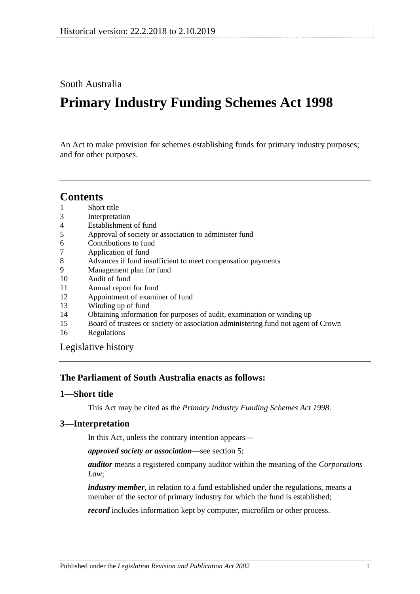South Australia

# **Primary Industry Funding Schemes Act 1998**

An Act to make provision for schemes establishing funds for primary industry purposes; and for other purposes.

# **Contents**

- 1 [Short title](#page-0-0)
- 3 [Interpretation](#page-0-1)
- 4 [Establishment of fund](#page-1-0)
- 5 [Approval of society or association to administer fund](#page-1-1)
- 6 [Contributions to fund](#page-2-0)
- 7 [Application of fund](#page-2-1)
- 8 [Advances if fund insufficient to meet compensation payments](#page-2-2)
- 9 [Management plan for fund](#page-3-0)
- 10 [Audit of fund](#page-3-1)
- 11 [Annual report for fund](#page-4-0)
- 12 [Appointment of examiner of fund](#page-4-1)<br>13 Winding up of fund
- [Winding up of fund](#page-4-2)
- 14 [Obtaining information for purposes of audit, examination or winding up](#page-5-0)
- 15 [Board of trustees or society or association administering fund not agent of Crown](#page-5-1)
- 16 [Regulations](#page-6-0)

[Legislative history](#page-7-0)

## **The Parliament of South Australia enacts as follows:**

#### <span id="page-0-0"></span>**1—Short title**

This Act may be cited as the *Primary Industry Funding Schemes Act 1998*.

#### <span id="page-0-1"></span>**3—Interpretation**

In this Act, unless the contrary intention appears—

*approved society or association*—see [section](#page-1-1) 5;

*auditor* means a registered company auditor within the meaning of the *Corporations Law*;

*industry member*, in relation to a fund established under the regulations, means a member of the sector of primary industry for which the fund is established;

*record* includes information kept by computer, microfilm or other process.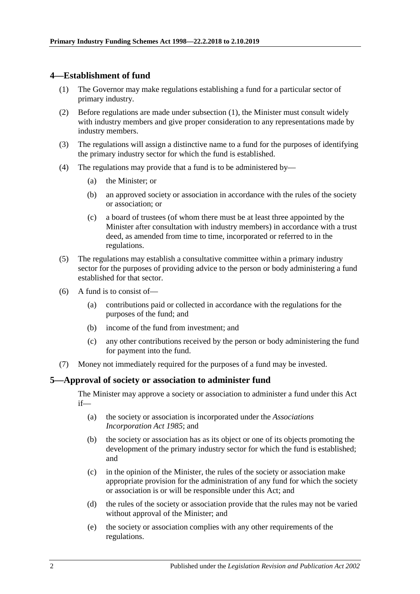#### <span id="page-1-2"></span><span id="page-1-0"></span>**4—Establishment of fund**

- (1) The Governor may make regulations establishing a fund for a particular sector of primary industry.
- (2) Before regulations are made under [subsection](#page-1-2) (1), the Minister must consult widely with industry members and give proper consideration to any representations made by industry members.
- (3) The regulations will assign a distinctive name to a fund for the purposes of identifying the primary industry sector for which the fund is established.
- (4) The regulations may provide that a fund is to be administered by—
	- (a) the Minister; or
	- (b) an approved society or association in accordance with the rules of the society or association; or
	- (c) a board of trustees (of whom there must be at least three appointed by the Minister after consultation with industry members) in accordance with a trust deed, as amended from time to time, incorporated or referred to in the regulations.
- (5) The regulations may establish a consultative committee within a primary industry sector for the purposes of providing advice to the person or body administering a fund established for that sector.
- (6) A fund is to consist of
	- contributions paid or collected in accordance with the regulations for the purposes of the fund; and
	- (b) income of the fund from investment; and
	- (c) any other contributions received by the person or body administering the fund for payment into the fund.
- (7) Money not immediately required for the purposes of a fund may be invested.

#### <span id="page-1-1"></span>**5—Approval of society or association to administer fund**

The Minister may approve a society or association to administer a fund under this Act if—

- (a) the society or association is incorporated under the *[Associations](http://www.legislation.sa.gov.au/index.aspx?action=legref&type=act&legtitle=Associations%20Incorporation%20Act%201985)  [Incorporation Act](http://www.legislation.sa.gov.au/index.aspx?action=legref&type=act&legtitle=Associations%20Incorporation%20Act%201985) 1985*; and
- (b) the society or association has as its object or one of its objects promoting the development of the primary industry sector for which the fund is established; and
- (c) in the opinion of the Minister, the rules of the society or association make appropriate provision for the administration of any fund for which the society or association is or will be responsible under this Act; and
- (d) the rules of the society or association provide that the rules may not be varied without approval of the Minister; and
- (e) the society or association complies with any other requirements of the regulations.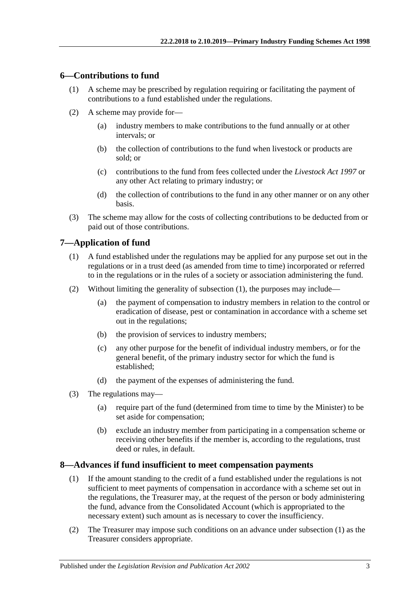#### <span id="page-2-0"></span>**6—Contributions to fund**

- (1) A scheme may be prescribed by regulation requiring or facilitating the payment of contributions to a fund established under the regulations.
- (2) A scheme may provide for—
	- (a) industry members to make contributions to the fund annually or at other intervals; or
	- (b) the collection of contributions to the fund when livestock or products are sold; or
	- (c) contributions to the fund from fees collected under the *[Livestock Act](http://www.legislation.sa.gov.au/index.aspx?action=legref&type=act&legtitle=Livestock%20Act%201997) 1997* or any other Act relating to primary industry; or
	- (d) the collection of contributions to the fund in any other manner or on any other basis.
- (3) The scheme may allow for the costs of collecting contributions to be deducted from or paid out of those contributions.

## <span id="page-2-3"></span><span id="page-2-1"></span>**7—Application of fund**

- (1) A fund established under the regulations may be applied for any purpose set out in the regulations or in a trust deed (as amended from time to time) incorporated or referred to in the regulations or in the rules of a society or association administering the fund.
- (2) Without limiting the generality of [subsection](#page-2-3) (1), the purposes may include—
	- (a) the payment of compensation to industry members in relation to the control or eradication of disease, pest or contamination in accordance with a scheme set out in the regulations;
	- (b) the provision of services to industry members;
	- (c) any other purpose for the benefit of individual industry members, or for the general benefit, of the primary industry sector for which the fund is established;
	- (d) the payment of the expenses of administering the fund.
- (3) The regulations may—
	- (a) require part of the fund (determined from time to time by the Minister) to be set aside for compensation;
	- (b) exclude an industry member from participating in a compensation scheme or receiving other benefits if the member is, according to the regulations, trust deed or rules, in default.

#### <span id="page-2-4"></span><span id="page-2-2"></span>**8—Advances if fund insufficient to meet compensation payments**

- (1) If the amount standing to the credit of a fund established under the regulations is not sufficient to meet payments of compensation in accordance with a scheme set out in the regulations, the Treasurer may, at the request of the person or body administering the fund, advance from the Consolidated Account (which is appropriated to the necessary extent) such amount as is necessary to cover the insufficiency.
- (2) The Treasurer may impose such conditions on an advance under [subsection](#page-2-4) (1) as the Treasurer considers appropriate.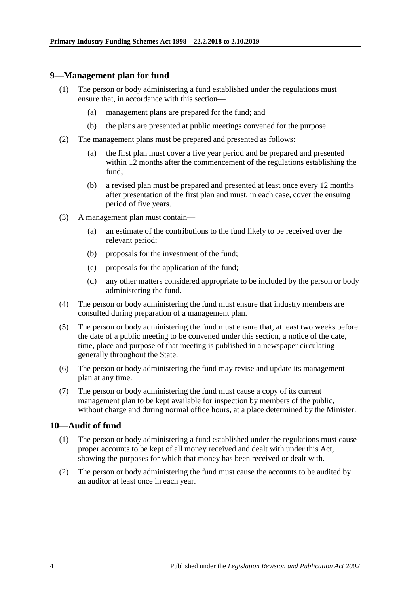#### <span id="page-3-0"></span>**9—Management plan for fund**

- (1) The person or body administering a fund established under the regulations must ensure that, in accordance with this section—
	- (a) management plans are prepared for the fund; and
	- (b) the plans are presented at public meetings convened for the purpose.
- (2) The management plans must be prepared and presented as follows:
	- (a) the first plan must cover a five year period and be prepared and presented within 12 months after the commencement of the regulations establishing the fund;
	- (b) a revised plan must be prepared and presented at least once every 12 months after presentation of the first plan and must, in each case, cover the ensuing period of five years.
- (3) A management plan must contain—
	- (a) an estimate of the contributions to the fund likely to be received over the relevant period;
	- (b) proposals for the investment of the fund;
	- (c) proposals for the application of the fund;
	- (d) any other matters considered appropriate to be included by the person or body administering the fund.
- (4) The person or body administering the fund must ensure that industry members are consulted during preparation of a management plan.
- (5) The person or body administering the fund must ensure that, at least two weeks before the date of a public meeting to be convened under this section, a notice of the date, time, place and purpose of that meeting is published in a newspaper circulating generally throughout the State.
- (6) The person or body administering the fund may revise and update its management plan at any time.
- (7) The person or body administering the fund must cause a copy of its current management plan to be kept available for inspection by members of the public, without charge and during normal office hours, at a place determined by the Minister.

#### <span id="page-3-1"></span>**10—Audit of fund**

- (1) The person or body administering a fund established under the regulations must cause proper accounts to be kept of all money received and dealt with under this Act, showing the purposes for which that money has been received or dealt with.
- (2) The person or body administering the fund must cause the accounts to be audited by an auditor at least once in each year.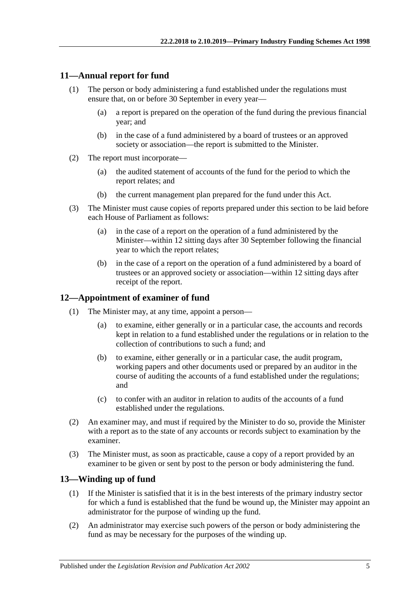#### <span id="page-4-0"></span>**11—Annual report for fund**

- (1) The person or body administering a fund established under the regulations must ensure that, on or before 30 September in every year—
	- (a) a report is prepared on the operation of the fund during the previous financial year; and
	- (b) in the case of a fund administered by a board of trustees or an approved society or association—the report is submitted to the Minister.
- (2) The report must incorporate—
	- (a) the audited statement of accounts of the fund for the period to which the report relates; and
	- (b) the current management plan prepared for the fund under this Act.
- (3) The Minister must cause copies of reports prepared under this section to be laid before each House of Parliament as follows:
	- (a) in the case of a report on the operation of a fund administered by the Minister—within 12 sitting days after 30 September following the financial year to which the report relates;
	- (b) in the case of a report on the operation of a fund administered by a board of trustees or an approved society or association—within 12 sitting days after receipt of the report.

#### <span id="page-4-1"></span>**12—Appointment of examiner of fund**

- (1) The Minister may, at any time, appoint a person—
	- (a) to examine, either generally or in a particular case, the accounts and records kept in relation to a fund established under the regulations or in relation to the collection of contributions to such a fund; and
	- (b) to examine, either generally or in a particular case, the audit program, working papers and other documents used or prepared by an auditor in the course of auditing the accounts of a fund established under the regulations; and
	- (c) to confer with an auditor in relation to audits of the accounts of a fund established under the regulations.
- (2) An examiner may, and must if required by the Minister to do so, provide the Minister with a report as to the state of any accounts or records subject to examination by the examiner.
- (3) The Minister must, as soon as practicable, cause a copy of a report provided by an examiner to be given or sent by post to the person or body administering the fund.

#### <span id="page-4-2"></span>**13—Winding up of fund**

- (1) If the Minister is satisfied that it is in the best interests of the primary industry sector for which a fund is established that the fund be wound up, the Minister may appoint an administrator for the purpose of winding up the fund.
- (2) An administrator may exercise such powers of the person or body administering the fund as may be necessary for the purposes of the winding up.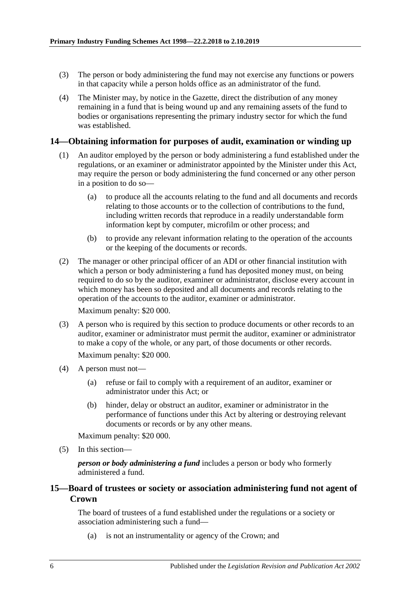- (3) The person or body administering the fund may not exercise any functions or powers in that capacity while a person holds office as an administrator of the fund.
- (4) The Minister may, by notice in the Gazette, direct the distribution of any money remaining in a fund that is being wound up and any remaining assets of the fund to bodies or organisations representing the primary industry sector for which the fund was established.

#### <span id="page-5-0"></span>**14—Obtaining information for purposes of audit, examination or winding up**

- (1) An auditor employed by the person or body administering a fund established under the regulations, or an examiner or administrator appointed by the Minister under this Act, may require the person or body administering the fund concerned or any other person in a position to do so—
	- (a) to produce all the accounts relating to the fund and all documents and records relating to those accounts or to the collection of contributions to the fund, including written records that reproduce in a readily understandable form information kept by computer, microfilm or other process; and
	- (b) to provide any relevant information relating to the operation of the accounts or the keeping of the documents or records.
- (2) The manager or other principal officer of an ADI or other financial institution with which a person or body administering a fund has deposited money must, on being required to do so by the auditor, examiner or administrator, disclose every account in which money has been so deposited and all documents and records relating to the operation of the accounts to the auditor, examiner or administrator.

Maximum penalty: \$20 000.

(3) A person who is required by this section to produce documents or other records to an auditor, examiner or administrator must permit the auditor, examiner or administrator to make a copy of the whole, or any part, of those documents or other records.

Maximum penalty: \$20 000.

- (4) A person must not—
	- (a) refuse or fail to comply with a requirement of an auditor, examiner or administrator under this Act; or
	- (b) hinder, delay or obstruct an auditor, examiner or administrator in the performance of functions under this Act by altering or destroying relevant documents or records or by any other means.

Maximum penalty: \$20 000.

(5) In this section—

*person or body administering a fund* includes a person or body who formerly administered a fund.

#### <span id="page-5-1"></span>**15—Board of trustees or society or association administering fund not agent of Crown**

The board of trustees of a fund established under the regulations or a society or association administering such a fund—

(a) is not an instrumentality or agency of the Crown; and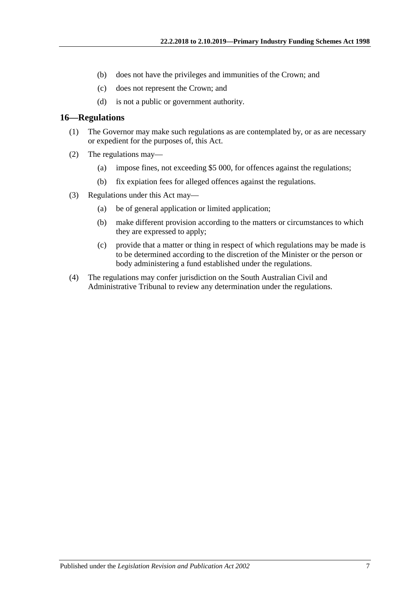- (b) does not have the privileges and immunities of the Crown; and
- (c) does not represent the Crown; and
- (d) is not a public or government authority.

#### <span id="page-6-0"></span>**16—Regulations**

- (1) The Governor may make such regulations as are contemplated by, or as are necessary or expedient for the purposes of, this Act.
- (2) The regulations may—
	- (a) impose fines, not exceeding \$5 000, for offences against the regulations;
	- (b) fix expiation fees for alleged offences against the regulations.
- (3) Regulations under this Act may—
	- (a) be of general application or limited application;
	- (b) make different provision according to the matters or circumstances to which they are expressed to apply;
	- (c) provide that a matter or thing in respect of which regulations may be made is to be determined according to the discretion of the Minister or the person or body administering a fund established under the regulations.
- (4) The regulations may confer jurisdiction on the South Australian Civil and Administrative Tribunal to review any determination under the regulations.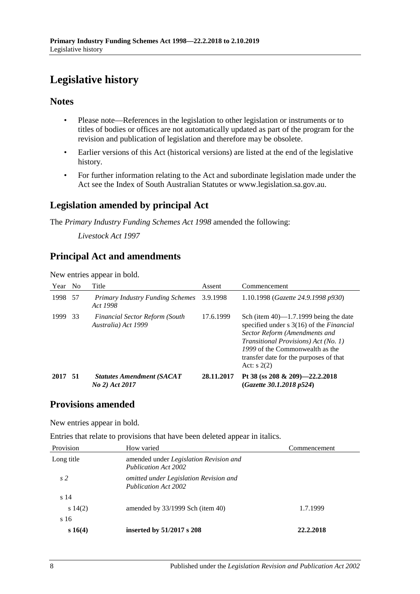# <span id="page-7-0"></span>**Legislative history**

#### **Notes**

- Please note—References in the legislation to other legislation or instruments or to titles of bodies or offices are not automatically updated as part of the program for the revision and publication of legislation and therefore may be obsolete.
- Earlier versions of this Act (historical versions) are listed at the end of the legislative history.
- For further information relating to the Act and subordinate legislation made under the Act see the Index of South Australian Statutes or www.legislation.sa.gov.au.

# **Legislation amended by principal Act**

The *Primary Industry Funding Schemes Act 1998* amended the following:

*Livestock Act 1997*

# **Principal Act and amendments**

New entries appear in bold.

| Year No |      | Title                                                        | Assent     | Commencement                                                                                                                                                                                                                                                              |
|---------|------|--------------------------------------------------------------|------------|---------------------------------------------------------------------------------------------------------------------------------------------------------------------------------------------------------------------------------------------------------------------------|
| 1998 57 |      | Primary Industry Funding Schemes 3.9.1998<br>Act 1998        |            | 1.10.1998 (Gazette 24.9.1998 p930)                                                                                                                                                                                                                                        |
| 1999    | 33   | <b>Financial Sector Reform (South</b><br>Australia) Act 1999 | 17.6.1999  | Sch (item $40$ )—1.7.1999 being the date<br>specified under $s$ 3(16) of the <i>Financial</i><br>Sector Reform (Amendments and<br><i>Transitional Provisions)</i> Act (No. 1)<br>1999 of the Commonwealth as the<br>transfer date for the purposes of that<br>Act: $s(2)$ |
| 2017    | - 51 | <b>Statutes Amendment (SACAT</b><br>No 2) Act 2017           | 28.11.2017 | Pt 38 (ss 208 & 209)-22.2.2018<br>(Gazette 30.1.2018 p524)                                                                                                                                                                                                                |

# **Provisions amended**

New entries appear in bold.

Entries that relate to provisions that have been deleted appear in italics.

| Provision      | How varied                                                            | Commencement |  |
|----------------|-----------------------------------------------------------------------|--------------|--|
| Long title     | amended under Legislation Revision and<br><b>Publication Act 2002</b> |              |  |
| s <sub>2</sub> | omitted under Legislation Revision and<br><b>Publication Act 2002</b> |              |  |
| s 14           |                                                                       |              |  |
| $s\ 14(2)$     | amended by $33/1999$ Sch (item 40)                                    | 1.7.1999     |  |
| s 16           |                                                                       |              |  |
| s 16(4)        | inserted by 51/2017 s 208                                             | 22.2.2018    |  |